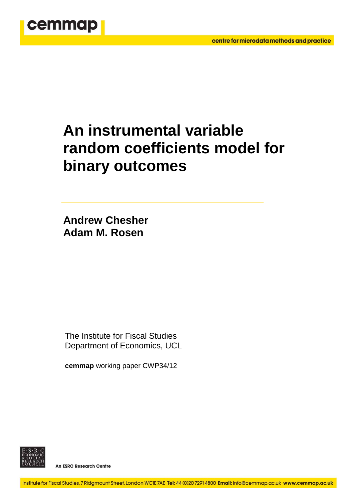

# **An instrumental variable random coefficients model for binary outcomes**

**Andrew Chesher Adam M. Rosen**

The Institute for Fiscal Studies Department of Economics, UCL

**cemmap** working paper CWP34/12



**An ESRC Research Centre**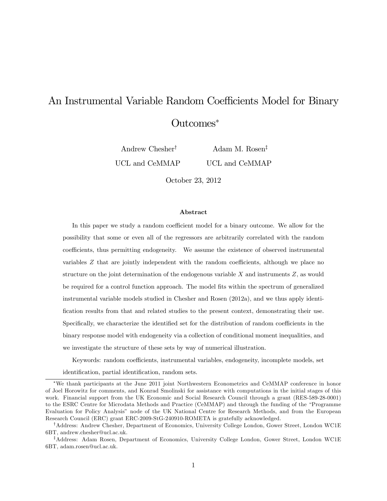## An Instrumental Variable Random Coefficients Model for Binary Outcomes

Andrew Chesher<sup>†</sup> UCL and CeMMAP

Adam M. Rosen<sup> $\ddagger$ </sup> UCL and CeMMAP

October 23, 2012

#### Abstract

In this paper we study a random coefficient model for a binary outcome. We allow for the possibility that some or even all of the regressors are arbitrarily correlated with the random coefficients, thus permitting endogeneity. We assume the existence of observed instrumental variables  $Z$  that are jointly independent with the random coefficients, although we place no structure on the joint determination of the endogenous variable  $X$  and instruments  $Z$ , as would be required for a control function approach. The model fits within the spectrum of generalized instrumental variable models studied in Chesher and Rosen (2012a), and we thus apply identification results from that and related studies to the present context, demonstrating their use. Specifically, we characterize the identified set for the distribution of random coefficients in the binary response model with endogeneity via a collection of conditional moment inequalities, and we investigate the structure of these sets by way of numerical illustration.

Keywords: random coefficients, instrumental variables, endogeneity, incomplete models, set identification, partial identification, random sets.

We thank participants at the June 2011 joint Northwestern Econometrics and CeMMAP conference in honor of Joel Horowitz for comments, and Konrad Smolinski for assistance with computations in the initial stages of this work. Financial support from the UK Economic and Social Research Council through a grant (RES-589-28-0001) to the ESRC Centre for Microdata Methods and Practice (CeMMAP) and through the funding of the "Programme Evaluation for Policy Analysisî node of the UK National Centre for Research Methods, and from the European Research Council (ERC) grant ERC-2009-StG-240910-ROMETA is gratefully acknowledged.

<sup>&</sup>lt;sup>†</sup>Address: Andrew Chesher, Department of Economics, University College London, Gower Street, London WC1E 6BT, andrew.chesher@ucl.ac.uk.

<sup>&</sup>lt;sup>‡</sup>Address: Adam Rosen, Department of Economics, University College London, Gower Street, London WC1E 6BT, adam.rosen@ucl.ac.uk.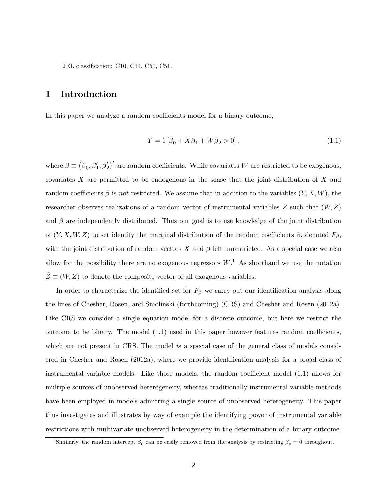JEL classification: C10, C14, C50, C51.

## 1 Introduction

In this paper we analyze a random coefficients model for a binary outcome,

$$
Y = 1 [\beta_0 + X\beta_1 + W\beta_2 > 0], \qquad (1.1)
$$

where  $\beta \equiv (\beta_0, \beta'_1, \beta'_2)'$  are random coefficients. While covariates W are restricted to be exogenous, covariates X are permitted to be endogenous in the sense that the joint distribution of X and random coefficients  $\beta$  is not restricted. We assume that in addition to the variables  $(Y, X, W)$ , the researcher observes realizations of a random vector of instrumental variables  $Z$  such that  $(W, Z)$ and  $\beta$  are independently distributed. Thus our goal is to use knowledge of the joint distribution of  $(Y, X, W, Z)$  to set identify the marginal distribution of the random coefficients  $\beta$ , denoted  $F_{\beta}$ , with the joint distribution of random vectors  $X$  and  $\beta$  left unrestricted. As a special case we also allow for the possibility there are no exogenous regressors  $W<sup>1</sup>$ . As shorthand we use the notation  $Z \equiv (W, Z)$  to denote the composite vector of all exogenous variables.

In order to characterize the identified set for  $F_\beta$  we carry out our identification analysis along the lines of Chesher, Rosen, and Smolinski (forthcoming) (CRS) and Chesher and Rosen (2012a). Like CRS we consider a single equation model for a discrete outcome, but here we restrict the outcome to be binary. The model  $(1.1)$  used in this paper however features random coefficients. which are not present in CRS. The model is a special case of the general class of models considered in Chesher and Rosen (2012a), where we provide identification analysis for a broad class of instrumental variable models. Like those models, the random coefficient model  $(1.1)$  allows for multiple sources of unobserved heterogeneity, whereas traditionally instrumental variable methods have been employed in models admitting a single source of unobserved heterogeneity. This paper thus investigates and illustrates by way of example the identifying power of instrumental variable restrictions with multivariate unobserved heterogeneity in the determination of a binary outcome.

<sup>&</sup>lt;sup>1</sup>Similarly, the random intercept  $\beta_0$  can be easily removed from the analysis by restricting  $\beta_0 = 0$  throughout.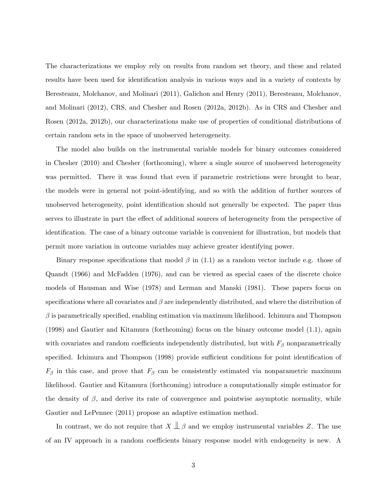The characterizations we employ rely on results from random set theory, and these and related results have been used for identification analysis in various ways and in a variety of contexts by Beresteanu, Molchanov, and Molinari (2011), Galichon and Henry (2011), Beresteanu, Molchanov, and Molinari (2012), CRS, and Chesher and Rosen (2012a, 2012b). As in CRS and Chesher and Rosen (2012a, 2012b), our characterizations make use of properties of conditional distributions of certain random sets in the space of unobserved heterogeneity.

The model also builds on the instrumental variable models for binary outcomes considered in Chesher (2010) and Chesher (forthcoming), where a single source of unobserved heterogeneity was permitted. There it was found that even if parametric restrictions were brought to bear, the models were in general not point-identifying, and so with the addition of further sources of unobserved heterogeneity, point identification should not generally be expected. The paper thus serves to illustrate in part the effect of additional sources of heterogeneity from the perspective of identification. The case of a binary outcome variable is convenient for illustration, but models that permit more variation in outcome variables may achieve greater identifying power.

Binary response specifications that model  $\beta$  in (1.1) as a random vector include e.g. those of Quandt (1966) and McFadden (1976), and can be viewed as special cases of the discrete choice models of Hausman and Wise (1978) and Lerman and Manski (1981). These papers focus on specifications where all covariates and  $\beta$  are independently distributed, and where the distribution of  $\beta$  is parametrically specified, enabling estimation via maximum likelihood. Ichimura and Thompson (1998) and Gautier and Kitamura (forthcoming) focus on the binary outcome model (1.1), again with covariates and random coefficients independently distributed, but with  $F_\beta$  nonparametrically specified. Ichimura and Thompson (1998) provide sufficient conditions for point identification of  $F_{\beta}$  in this case, and prove that  $F_{\beta}$  can be consistently estimated via nonparametric maximum likelihood. Gautier and Kitamura (forthcoming) introduce a computationally simple estimator for the density of  $\beta$ , and derive its rate of convergence and pointwise asymptotic normality, while Gautier and LePennec (2011) propose an adaptive estimation method.

In contrast, we do not require that  $X \perp \!\!\!\perp \beta$  and we employ instrumental variables Z. The use of an IV approach in a random coefficients binary response model with endogeneity is new. A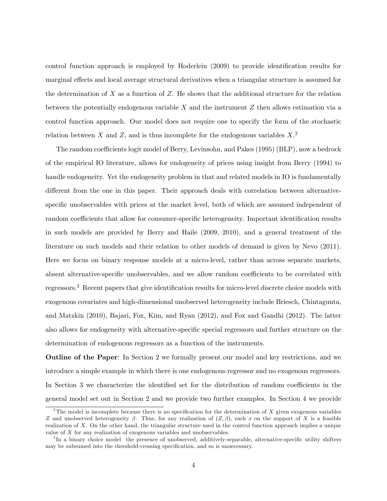control function approach is employed by Hoderlein (2009) to provide identification results for marginal effects and local average structural derivatives when a triangular structure is assumed for the determination of  $X$  as a function of  $Z$ . He shows that the additional structure for the relation between the potentially endogenous variable  $X$  and the instrument  $Z$  then allows estimation via a control function approach. Our model does not require one to specify the form of the stochastic relation between X and Z, and is thus incomplete for the endogenous variables  $X$ .<sup>2</sup>

The random coefficients logit model of Berry, Levinsohn, and Pakes (1995) (BLP), now a bedrock of the empirical IO literature, allows for endogeneity of prices using insight from Berry (1994) to handle endogeneity. Yet the endogeneity problem in that and related models in IO is fundamentally different from the one in this paper. Their approach deals with correlation between alternativespecific unobservables with prices at the market level, both of which are assumed independent of random coefficients that allow for consumer-specific heterogeneity. Important identification results in such models are provided by Berry and Haile (2009, 2010), and a general treatment of the literature on such models and their relation to other models of demand is given by Nevo (2011). Here we focus on binary response models at a micro-level, rather than across separate markets, absent alternative-specific unobservables, and we allow random coefficients to be correlated with regressors.<sup>3</sup> Recent papers that give identification results for micro-level discrete choice models with exogenous covariates and high-dimensional unobserved heterogeneity include Briesch, Chintagunta, and Matzkin (2010), Bajari, Fox, Kim, and Ryan (2012), and Fox and Gandhi (2012). The latter also allows for endogeneity with alternative-specific special regressors and further structure on the determination of endogenous regressors as a function of the instruments.

Outline of the Paper: In Section 2 we formally present our model and key restrictions, and we introduce a simple example in which there is one endogenous regressor and no exogenous regressors. In Section 3 we characterize the identified set for the distribution of random coefficients in the general model set out in Section 2 and we provide two further examples. In Section 4 we provide

<sup>&</sup>lt;sup>2</sup>The model is incomplete because there is no specification for the determination of X given exogenous variables Z and unobserved heterogeneity  $\beta$ . Thus, for any realization of  $(Z, \beta)$ , each x on the support of X is a feasible realization of X. On the other hand, the triangular structure used in the control function approach implies a unique value of X for any realization of exogenous variables and unobservables.

<sup>&</sup>lt;sup>3</sup>In a binary choice model the presence of unobserved, additively-separable, alternative-specific utility shifters may be subsumed into the threshold-crossing specification, and so is unnecessary.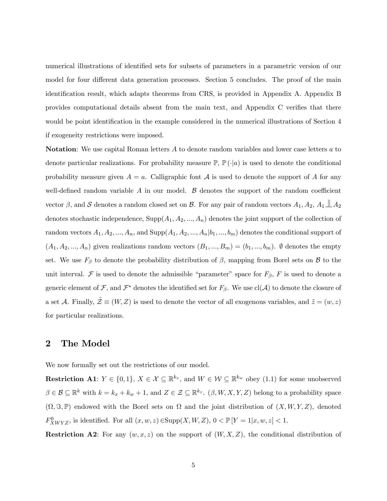numerical illustrations of identified sets for subsets of parameters in a parametric version of our model for four different data generation processes. Section 5 concludes. The proof of the main identification result, which adapts theorems from CRS, is provided in Appendix A. Appendix B provides computational details absent from the main text, and Appendix C verifies that there would be point identification in the example considered in the numerical illustrations of Section 4 if exogeneity restrictions were imposed.

Notation: We use capital Roman letters A to denote random variables and lower case letters a to denote particular realizations. For probability measure  $\mathbb{P}, \mathbb{P}(\cdot|a)$  is used to denote the conditional probability measure given  $A = a$ . Calligraphic font  $A$  is used to denote the support of A for any well-defined random variable  $A$  in our model.  $B$  denotes the support of the random coefficient vector  $\beta$ , and  $\mathcal S$  denotes a random closed set on  $\mathcal B$ . For any pair of random vectors  $A_1, A_2, A_1 \perp \!\!\! \perp A_2$ denotes stochastic independence,  $\text{Supp}(A_1, A_2, ..., A_n)$  denotes the joint support of the collection of random vectors  $A_1, A_2, ..., A_n$ , and  $\text{Supp}(A_1, A_2, ..., A_n | b_1, ..., b_m)$  denotes the conditional support of  $(A_1, A_2, ..., A_n)$  given realizations random vectors  $(B_1, ..., B_m) = (b_1, ..., b_m)$ .  $\emptyset$  denotes the empty set. We use  $F_\beta$  to denote the probability distribution of  $\beta$ , mapping from Borel sets on  $\beta$  to the unit interval. F is used to denote the admissible "parameter" space for  $F_{\beta}$ , F is used to denote a generic element of  $\mathcal F$ , and  $\mathcal F^*$  denotes the identified set for  $F_\beta$ . We use  $\text{cl}(\mathcal A)$  to denote the closure of a set A. Finally,  $\tilde{\mathcal{Z}} \equiv (W, Z)$  is used to denote the vector of all exogenous variables, and  $\tilde{z} = (w, z)$ for particular realizations.

## 2 The Model

We now formally set out the restrictions of our model.

**Restriction A1:**  $Y \in \{0, 1\}, X \in \mathcal{X} \subseteq \mathbb{R}^{k_x}$ , and  $W \in \mathcal{W} \subseteq \mathbb{R}^{k_w}$  obey (1.1) for some unobserved  $\beta \in \mathcal{B} \subseteq \mathbb{R}^k$  with  $k = k_x + k_w + 1$ , and  $Z \in \mathcal{Z} \subseteq \mathbb{R}^{k_z}$ .  $(\beta, W, X, Y, Z)$  belong to a probability space  $(\Omega, \Im, \mathbb{P})$  endowed with the Borel sets on  $\Omega$  and the joint distribution of  $(X, W, Y, Z)$ , denoted  $F_{XWYZ}^0$ , is identified. For all  $(x, w, z) \in \text{Supp}(X, W, Z)$ ,  $0 < \mathbb{P}[Y = 1 | x, w, z] < 1$ .

**Restriction A2:** For any  $(w, x, z)$  on the support of  $(W, X, Z)$ , the conditional distribution of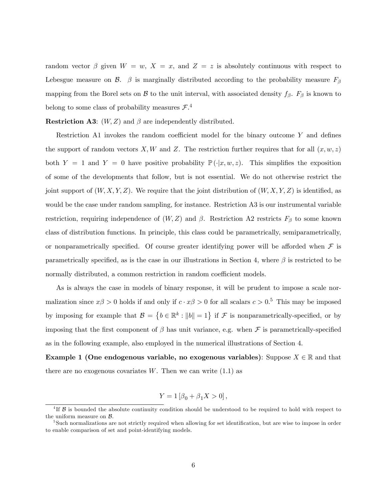random vector  $\beta$  given  $W = w$ ,  $X = x$ , and  $Z = z$  is absolutely continuous with respect to Lebesgue measure on  $\beta$ .  $\beta$  is marginally distributed according to the probability measure  $F_{\beta}$ mapping from the Borel sets on  $\beta$  to the unit interval, with associated density  $f_{\beta}$ .  $F_{\beta}$  is known to belong to some class of probability measures  $\mathcal{F}^A$ .

**Restriction A3:**  $(W, Z)$  and  $\beta$  are independently distributed.

Restriction A1 invokes the random coefficient model for the binary outcome  $Y$  and defines the support of random vectors X, W and Z. The restriction further requires that for all  $(x, w, z)$ both Y = 1 and Y = 0 have positive probability  $\mathbb{P}(\cdot|x, w, z)$ . This simplifies the exposition of some of the developments that follow, but is not essential. We do not otherwise restrict the joint support of  $(W, X, Y, Z)$ . We require that the joint distribution of  $(W, X, Y, Z)$  is identified, as would be the case under random sampling, for instance. Restriction A3 is our instrumental variable restriction, requiring independence of  $(W, Z)$  and  $\beta$ . Restriction A2 restricts  $F_{\beta}$  to some known class of distribution functions. In principle, this class could be parametrically, semiparametrically, or nonparametrically specified. Of course greater identifying power will be afforded when  $\mathcal F$  is parametrically specified, as is the case in our illustrations in Section 4, where  $\beta$  is restricted to be normally distributed, a common restriction in random coefficient models.

As is always the case in models of binary response, it will be prudent to impose a scale normalization since  $x\beta > 0$  holds if and only if  $c \cdot x\beta > 0$  for all scalars  $c > 0.5$  This may be imposed by imposing for example that  $\mathcal{B} = \{b \in \mathbb{R}^k : ||b|| = 1\}$  if  $\mathcal{F}$  is nonparametrically-specified, or by imposing that the first component of  $\beta$  has unit variance, e.g. when  $\mathcal F$  is parametrically-specified as in the following example, also employed in the numerical illustrations of Section 4.

**Example 1 (One endogenous variable, no exogenous variables)**: Suppose  $X \in \mathbb{R}$  and that there are no exogenous covariates  $W$ . Then we can write  $(1.1)$  as

$$
Y = 1 [\beta_0 + \beta_1 X > 0],
$$

<sup>&</sup>lt;sup>4</sup>If  $\beta$  is bounded the absolute continuity condition should be understood to be required to hold with respect to the uniform measure on  $B$ .

<sup>&</sup>lt;sup>5</sup>Such normalizations are not strictly required when allowing for set identification, but are wise to impose in order to enable comparison of set and point-identifying models.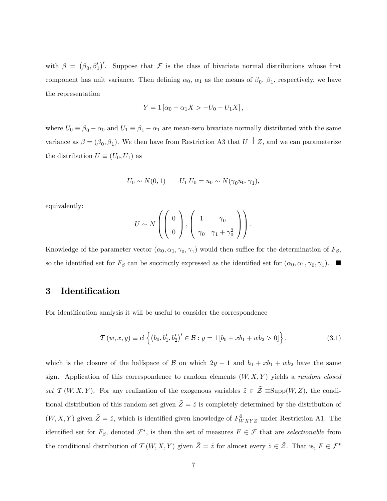with  $\beta = (\beta_0, \beta_1')'$ . Suppose that F is the class of bivariate normal distributions whose first component has unit variance. Then defining  $\alpha_0$ ,  $\alpha_1$  as the means of  $\beta_0$ ,  $\beta_1$ , respectively, we have the representation

$$
Y = 1 [\alpha_0 + \alpha_1 X > -U_0 - U_1 X],
$$

where  $U_0 \equiv \beta_0 - \alpha_0$  and  $U_1 \equiv \beta_1 - \alpha_1$  are mean-zero bivariate normally distributed with the same variance as  $\beta = (\beta_0, \beta_1)$ . We then have from Restriction A3 that  $U \perp\!\!\!\perp Z$ , and we can parameterize the distribution  $U \equiv (U_0, U_1)$  as

$$
U_0 \sim N(0, 1) \qquad U_1 | U_0 = u_0 \sim N(\gamma_0 u_0, \gamma_1),
$$

equivalently:

$$
U \sim N\left(\left(\begin{array}{c}0\\0\end{array}\right), \left(\begin{array}{cc}1&\gamma_0\\ \gamma_0&\gamma_1+\gamma_0^2\end{array}\right)\right).
$$

Knowledge of the parameter vector  $(\alpha_0, \alpha_1, \gamma_0, \gamma_1)$  would then suffice for the determination of  $F_\beta$ , so the identified set for  $F_\beta$  can be succinctly expressed as the identified set for  $(\alpha_0, \alpha_1, \gamma_0, \gamma_1)$ .

## 3 Identification

For identification analysis it will be useful to consider the correspondence

$$
\mathcal{T}(w, x, y) \equiv \text{cl}\left\{ (b_0, b_1', b_2')' \in \mathcal{B} : y = 1 [b_0 + xb_1 + wb_2 > 0] \right\},\tag{3.1}
$$

which is the closure of the halfspace of B on which  $2y - 1$  and  $b_0 + xb_1 + wb_2$  have the same sign. Application of this correspondence to random elements  $(W, X, Y)$  yields a *random closed* set  $\mathcal{T}(W, X, Y)$ . For any realization of the exogenous variables  $\tilde{z} \in \tilde{\mathcal{Z}} \equiv \text{Supp}(W, Z)$ , the conditional distribution of this random set given  $\tilde{Z} = \tilde{z}$  is completely determined by the distribution of  $(W, X, Y)$  given  $\tilde{Z} = \tilde{z}$ , which is identified given knowledge of  $F^0_{WXYZ}$  under Restriction A1. The identified set for  $F_{\beta}$ , denoted  $\mathcal{F}^*$ , is then the set of measures  $F \in \mathcal{F}$  that are selectionable from the conditional distribution of  $\mathcal{T}(W, X, Y)$  given  $\tilde{Z} = \tilde{z}$  for almost every  $\tilde{z} \in \tilde{\mathcal{Z}}$ . That is,  $F \in \mathcal{F}^*$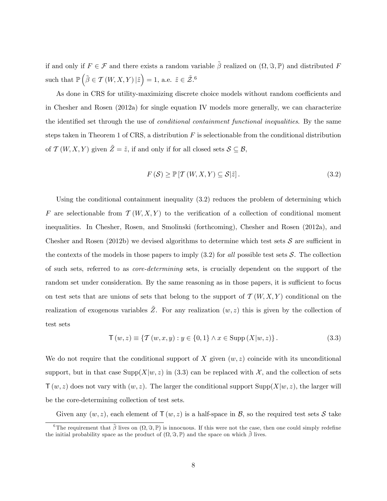if and only if  $F \in \mathcal{F}$  and there exists a random variable  $\tilde{\beta}$  realized on  $(\Omega, \Im, \mathbb{P})$  and distributed F such that  $\mathbb{P}\left(\tilde{\beta}\in\mathcal{T}\left(W,X,Y\right)|\tilde{z}\right)=1$ , a.e.  $\tilde{z}\in\tilde{\mathcal{Z}}^{.6}$ 

As done in CRS for utility-maximizing discrete choice models without random coefficients and in Chesher and Rosen (2012a) for single equation IV models more generally, we can characterize the identified set through the use of *conditional containment functional inequalities*. By the same steps taken in Theorem 1 of CRS, a distribution  $F$  is selectionable from the conditional distribution of  $\mathcal{T}(W, X, Y)$  given  $\tilde{Z} = \tilde{z}$ , if and only if for all closed sets  $S \subseteq \mathcal{B}$ ,

$$
F(S) \ge \mathbb{P}\left[\mathcal{T}\left(W, X, Y\right) \subseteq \mathcal{S}|\tilde{z}\right].\tag{3.2}
$$

Using the conditional containment inequality (3.2) reduces the problem of determining which F are selectionable from  $\mathcal{T}(W, X, Y)$  to the verification of a collection of conditional moment inequalities. In Chesher, Rosen, and Smolinski (forthcoming), Chesher and Rosen (2012a), and Chesher and Rosen (2012b) we devised algorithms to determine which test sets  $S$  are sufficient in the contexts of the models in those papers to imply  $(3.2)$  for all possible test sets S. The collection of such sets, referred to as core-determining sets, is crucially dependent on the support of the random set under consideration. By the same reasoning as in those papers, it is sufficient to focus on test sets that are unions of sets that belong to the support of  $\mathcal{T}(W, X, Y)$  conditional on the realization of exogenous variables  $\tilde{Z}$ . For any realization  $(w, z)$  this is given by the collection of test sets

$$
T(w, z) \equiv \{ T(w, x, y) : y \in \{0, 1\} \land x \in \text{Supp}(X|w, z) \}.
$$
 (3.3)

We do not require that the conditional support of X given  $(w, z)$  coincide with its unconditional support, but in that case  $\text{Supp}(X|w, z)$  in (3.3) can be replaced with X, and the collection of sets  $\mathsf{T}(w, z)$  does not vary with  $(w, z)$ . The larger the conditional support Supp $(X|w, z)$ , the larger will be the core-determining collection of test sets.

Given any  $(w, z)$ , each element of  $\mathsf{T}(w, z)$  is a half-space in  $\mathcal{B}$ , so the required test sets  $\mathcal{S}$  take

<sup>&</sup>lt;sup>6</sup>The requirement that  $\tilde{\beta}$  lives on  $(\Omega, \Im, \mathbb{P})$  is innocuous. If this were not the case, then one could simply redefine the initial probability space as the product of  $(\Omega, \Im, \mathbb{P})$  and the space on which  $\tilde{\beta}$  lives.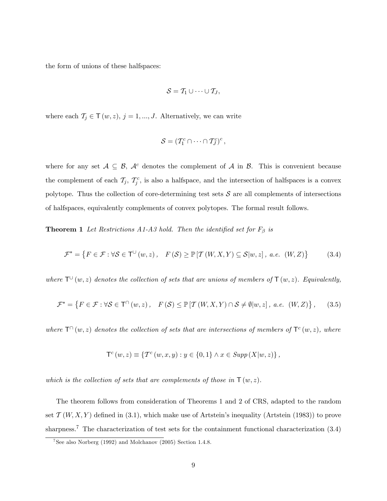the form of unions of these halfspaces:

$$
\mathcal{S} = \mathcal{T}_1 \cup \cdots \cup \mathcal{T}_J,
$$

where each  $\mathcal{T}_j \in \mathsf{T}(w, z), j = 1, ..., J$ . Alternatively, we can write

$$
\mathcal{S} = (T_1^c \cap \cdots \cap T_J^c)^c,
$$

where for any set  $A \subseteq B$ ,  $A^c$  denotes the complement of A in B. This is convenient because the complement of each  $\mathcal{T}_j$ ,  $\mathcal{T}_j^c$ , is also a halfspace, and the intersection of halfspaces is a convex polytope. Thus the collection of core-determining test sets  $S$  are all complements of intersections of halfspaces, equivalently complements of convex polytopes. The formal result follows.

**Theorem 1** Let Restrictions A1-A3 hold. Then the identified set for  $F_\beta$  is

$$
\mathcal{F}^* = \left\{ F \in \mathcal{F} : \forall \mathcal{S} \in \mathsf{T}^{\cup}(w, z), \quad F(\mathcal{S}) \ge \mathbb{P}\left[\mathcal{T}\left(W, X, Y\right) \subseteq \mathcal{S}|w, z\right], \ a.e. \ (W, Z) \right\} \tag{3.4}
$$

where  $T^{(1)}(w, z)$  denotes the collection of sets that are unions of members of  $T(w, z)$ . Equivalently,

$$
\mathcal{F}^* = \left\{ F \in \mathcal{F} : \forall \mathcal{S} \in \mathsf{T}^{\cap}(w, z), \quad F(\mathcal{S}) \le \mathbb{P}\left[\mathcal{T}\left(W, X, Y\right) \cap \mathcal{S} \neq \emptyset | w, z\right], \ a.e. \ (W, Z) \right\},\tag{3.5}
$$

where  $\mathsf{T}^{\cap}(w,z)$  denotes the collection of sets that are intersections of members of  $\mathsf{T}^c(w,z)$ , where

$$
\mathsf{T}^c\left(w,z\right) \equiv \left\{\mathsf{T}^c\left(w,x,y\right): y \in \{0,1\} \land x \in \operatorname{Supp}\left(X|w,z\right)\right\},\
$$

which is the collection of sets that are complements of those in  $\mathsf{T}(w, z)$ .

The theorem follows from consideration of Theorems 1 and 2 of CRS, adapted to the random set  $\mathcal{T}(W, X, Y)$  defined in (3.1), which make use of Artstein's inequality (Artstein (1983)) to prove sharpness.<sup>7</sup> The characterization of test sets for the containment functional characterization (3.4)

<sup>&</sup>lt;sup>7</sup>See also Norberg (1992) and Molchanov (2005) Section 1.4.8.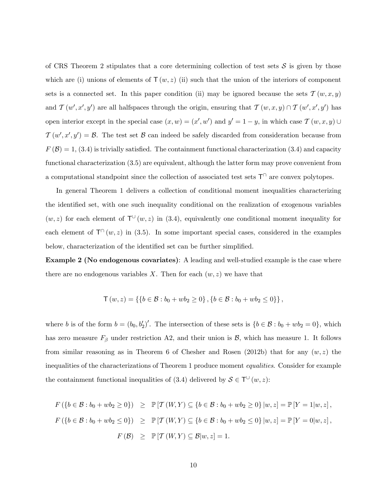of CRS Theorem 2 stipulates that a core determining collection of test sets  $S$  is given by those which are (i) unions of elements of  $\mathsf{T}(w, z)$  (ii) such that the union of the interiors of component sets is a connected set. In this paper condition (ii) may be ignored because the sets  $\mathcal{T}(w, x, y)$ and  $\mathcal{T}(w', x', y')$  are all halfspaces through the origin, ensuring that  $\mathcal{T}(w, x, y) \cap \mathcal{T}(w', x', y')$  has open interior except in the special case  $(x, w) = (x', w')$  and  $y' = 1 - y$ , in which case  $\mathcal{T}(w, x, y) \cup$  $\mathcal{T}(w', x', y') = \mathcal{B}$ . The test set  $\mathcal{B}$  can indeed be safely discarded from consideration because from  $F(\mathcal{B}) = 1$ , (3.4) is trivially satisfied. The containment functional characterization (3.4) and capacity functional characterization (3.5) are equivalent, although the latter form may prove convenient from a computational standpoint since the collection of associated test sets  $\mathsf{T}^{\cap}$  are convex polytopes.

In general Theorem 1 delivers a collection of conditional moment inequalities characterizing the identified set, with one such inequality conditional on the realization of exogenous variables  $(w, z)$  for each element of  $\mathsf{T}^{\cup}(w, z)$  in (3.4), equivalently one conditional moment inequality for each element of  $\mathsf{T}^{\cap}(w, z)$  in (3.5). In some important special cases, considered in the examples below, characterization of the identified set can be further simplified.

Example 2 (No endogenous covariates): A leading and well-studied example is the case where there are no endogenous variables X. Then for each  $(w, z)$  we have that

$$
\mathsf{T}(w,z) = \left\{ \{b \in \mathcal{B} : b_0 + wb_2 \ge 0 \}, \{b \in \mathcal{B} : b_0 + wb_2 \le 0 \} \right\},\
$$

where b is of the form  $b = (b_0, b'_2)'$ . The intersection of these sets is  $\{b \in \mathcal{B} : b_0 + w b_2 = 0\}$ , which has zero measure  $F_\beta$  under restriction A2, and their union is  $\beta$ , which has measure 1. It follows from similar reasoning as in Theorem 6 of Chesher and Rosen (2012b) that for any  $(w, z)$  the inequalities of the characterizations of Theorem 1 produce moment equalities. Consider for example the containment functional inequalities of (3.4) delivered by  $S \in \mathsf{T}^{\cup}(w, z)$ :

$$
F(\{b \in \mathcal{B} : b_0 + wb_2 \ge 0\}) \ge \mathbb{P}[T(W, Y) \subseteq \{b \in \mathcal{B} : b_0 + wb_2 \ge 0\} | w, z] = \mathbb{P}[Y = 1 | w, z],
$$
  

$$
F(\{b \in \mathcal{B} : b_0 + wb_2 \le 0\}) \ge \mathbb{P}[T(W, Y) \subseteq \{b \in \mathcal{B} : b_0 + wb_2 \le 0\} | w, z] = \mathbb{P}[Y = 0 | w, z],
$$
  

$$
F(\mathcal{B}) \ge \mathbb{P}[T(W, Y) \subseteq \mathcal{B} | w, z] = 1.
$$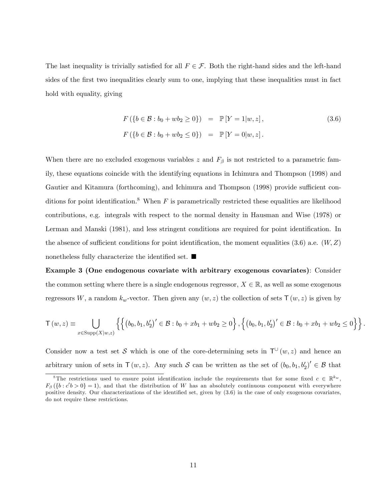The last inequality is trivially satisfied for all  $F \in \mathcal{F}$ . Both the right-hand sides and the left-hand sides of the first two inequalities clearly sum to one, implying that these inequalities must in fact hold with equality, giving

$$
F(\lbrace b \in \mathcal{B} : b_0 + wb_2 \ge 0 \rbrace) = \mathbb{P}[Y = 1|w, z],
$$
\n
$$
F(\lbrace b \in \mathcal{B} : b_0 + wb_2 \le 0 \rbrace) = \mathbb{P}[Y = 0|w, z].
$$
\n(3.6)

When there are no excluded exogenous variables z and  $F_\beta$  is not restricted to a parametric family, these equations coincide with the identifying equations in Ichimura and Thompson (1998) and Gautier and Kitamura (forthcoming), and Ichimura and Thompson (1998) provide sufficient conditions for point identification.<sup>8</sup> When F is parametrically restricted these equalities are likelihood contributions, e.g. integrals with respect to the normal density in Hausman and Wise (1978) or Lerman and Manski (1981), and less stringent conditions are required for point identification. In the absence of sufficient conditions for point identification, the moment equalities (3.6) a.e.  $(W, Z)$ nonetheless fully characterize the identified set.  $\blacksquare$ 

Example 3 (One endogenous covariate with arbitrary exogenous covariates): Consider the common setting where there is a single endogenous regressor,  $X \in \mathbb{R}$ , as well as some exogenous regressors W, a random  $k_w$ -vector. Then given any  $(w, z)$  the collection of sets  $\mathsf{T}(w, z)$  is given by

$$
\mathsf{T}(w,z) \equiv \bigcup_{x \in \text{Supp}(X|w,z)} \left\{ \left\{ \left( b_0, b_1, b_2' \right)' \in \mathcal{B} : b_0 + xb_1 + wb_2 \ge 0 \right\}, \left\{ \left( b_0, b_1, b_2' \right)' \in \mathcal{B} : b_0 + xb_1 + wb_2 \le 0 \right\} \right\}.
$$

Consider now a test set S which is one of the core-determining sets in  $\mathsf{T}^{\cup}(w, z)$  and hence an arbitrary union of sets in  $\mathsf{T}(w, z)$ . Any such  $\mathcal S$  can be written as the set of  $(b_0, b_1, b'_2)' \in \mathcal B$  that

<sup>&</sup>lt;sup>8</sup>The restrictions used to ensure point identification include the requirements that for some fixed  $c \in \mathbb{R}^{k_w}$ ,  $F_{\beta}(\{b : c'b > 0\} = 1)$ , and that the distribution of W has an absolutely continuous component with everywhere positive density. Our characterizations of the identified set, given by  $(3.6)$  in the case of only exogenous covariates, do not require these restrictions.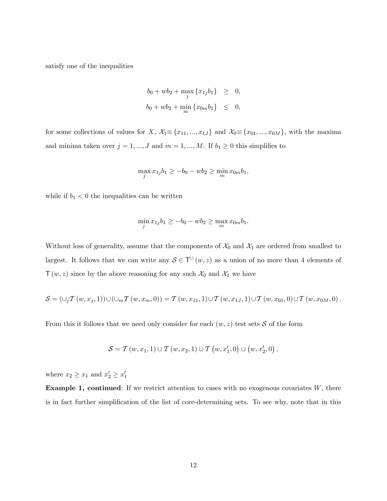satisfy one of the inequalities

$$
b_0 + wb_2 + \max_j \{x_{1j}b_1\} \geq 0,
$$
  

$$
b_0 + wb_2 + \min_m \{x_{0m}b_1\} \leq 0,
$$

for some collections of values for X,  $\mathcal{X}_1 \equiv \{x_{11}, ..., x_{1J}\}$  and  $\mathcal{X}_0 \equiv \{x_{01}, ..., x_{0M}\}$ , with the maxima and minima taken over  $j = 1, ..., J$  and  $m = 1, ..., M$ . If  $b_1 \geq 0$  this simplifies to

$$
\max_{j} x_{1j} b_1 \ge -b_0 - w b_2 \ge \min_{m} x_{0m} b_1,
$$

while if  $b_1 < 0$  the inequalities can be written

$$
\min_{j} x_{1j} b_1 \ge -b_0 - wb_2 \ge \max_{m} x_{0m} b_1.
$$

Without loss of generality, assume that the components of  $\mathcal{X}_0$  and  $\mathcal{X}_1$  are ordered from smallest to largest. It follows that we can write any  $S \in T^{\cup}(w, z)$  as a union of no more than 4 elements of  $\mathsf{T}(w, z)$  since by the above reasoning for any such  $\mathcal{X}_0$  and  $\mathcal{X}_1$  we have

$$
\mathcal{S} = \left(\cup_j T\left(w, x_j, 1\right)\right) \cup \left(\cup_m T\left(w, x_m, 0\right)\right) = T\left(w, x_{11}, 1\right) \cup T\left(w, x_{1J}, 1\right) \cup T\left(w, x_{01}, 0\right) \cup T\left(w, x_{0M}, 0\right).
$$

From this it follows that we need only consider for each  $(w, z)$  test sets S of the form

$$
S = T(w, x_1, 1) \cup T(w, x_2, 1) \cup T(w, x'_1, 0) \cup (w, x'_2, 0),
$$

where  $x_2 \geq x_1$  and  $x'_2 \geq x'_1$ 

**Example 1, continued:** If we restrict attention to cases with no exogenous covariates  $W$ , there is in fact further simplification of the list of core-determining sets. To see why, note that in this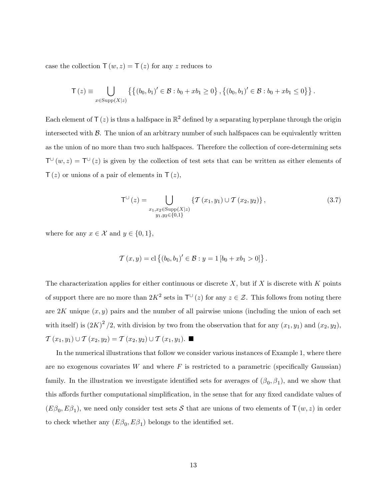case the collection  $\mathsf{T}(w, z) = \mathsf{T}(z)$  for any z reduces to

$$
\mathsf{T}\left(z\right) \equiv \bigcup_{x \in \text{Supp}(X|z)} \left\{ \left\{ \left(b_0, b_1\right)' \in \mathcal{B} : b_0 + xb_1 \ge 0 \right\}, \left\{ \left(b_0, b_1\right)' \in \mathcal{B} : b_0 + xb_1 \le 0 \right\} \right\}.
$$

Each element of  $\mathsf{T}\left( z\right)$  is thus a halfspace in  $\mathbb{R}^{2}$  defined by a separating hyperplane through the origin intersected with  $\beta$ . The union of an arbitrary number of such halfspaces can be equivalently written as the union of no more than two such halfspaces. Therefore the collection of core-determining sets  $T^{\cup}(w, z) = T^{\cup}(z)$  is given by the collection of test sets that can be written as either elements of  $T(z)$  or unions of a pair of elements in  $T(z)$ ,

$$
T^{U}(z) = \bigcup_{\substack{x_1, x_2 \in \text{Supp}(X|z) \\ y_1, y_2 \in \{0, 1\}}} \{T(x_1, y_1) \cup T(x_2, y_2)\},
$$
\n(3.7)

where for any  $x \in \mathcal{X}$  and  $y \in \{0, 1\},\$ 

$$
\mathcal{T}(x,y) = \mathrm{cl} \left\{ (b_0, b_1)' \in \mathcal{B} : y = 1 [b_0 + xb_1 > 0] \right\}.
$$

The characterization applies for either continuous or discrete X, but if X is discrete with  $K$  points of support there are no more than  $2K^2$  sets in  $\mathsf{T}^{\cup}(z)$  for any  $z \in \mathcal{Z}$ . This follows from noting there are  $2K$  unique  $(x, y)$  pairs and the number of all pairwise unions (including the union of each set with itself) is  $(2K)^2/2$ , with division by two from the observation that for any  $(x_1, y_1)$  and  $(x_2, y_2)$ ,  $\mathcal{T}\left(x_{1}, y_{1}\right) \cup \mathcal{T}\left(x_{2}, y_{2}\right) = \mathcal{T}\left(x_{2}, y_{2}\right) \cup \mathcal{T}\left(x_{1}, y_{1}\right).$ 

In the numerical illustrations that follow we consider various instances of Example 1, where there are no exogenous covariates W and where  $F$  is restricted to a parametric (specifically Gaussian) family. In the illustration we investigate identified sets for averages of  $(\beta_0, \beta_1)$ , and we show that this affords further computational simplification, in the sense that for any fixed candidate values of  $(E\beta_0, E\beta_1)$ , we need only consider test sets S that are unions of two elements of  $\mathsf{T}(w, z)$  in order to check whether any  $(E\beta_0, E\beta_1)$  belongs to the identified set.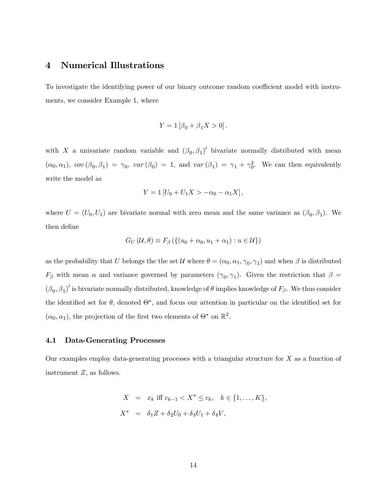## 4 Numerical Illustrations

To investigate the identifying power of our binary outcome random coefficient model with instruments, we consider Example 1, where

$$
Y = 1 [\beta_0 + \beta_1 X > 0].
$$

with X a univariate random variable and  $(\beta_0, \beta_1)'$  bivariate normally distributed with mean  $(\alpha_0, \alpha_1)$ ,  $cov(\beta_0, \beta_1) = \gamma_0$ ,  $var(\beta_0) = 1$ , and  $var(\beta_1) = \gamma_1 + \gamma_0^2$ . We can then equivalently write the model as

$$
Y = 1 [U_0 + U_1 X > -\alpha_0 - \alpha_1 X],
$$

where  $U = (U_0, U_1)$  are bivariate normal with zero mean and the same variance as  $(\beta_0, \beta_1)$ . We then define

$$
G_U(\mathcal{U}, \theta) \equiv F_{\beta}(\{(u_0 + \alpha_0, u_1 + \alpha_1) : u \in \mathcal{U}\})
$$

as the probability that U belongs the the set  $\mathcal U$  where  $\theta = (\alpha_0, \alpha_1, \gamma_0, \gamma_1)$  and when  $\beta$  is distributed  $F_\beta$  with mean  $\alpha$  and variance governed by parameters  $(\gamma_0, \gamma_1)$ . Given the restriction that  $\beta =$  $(\beta_0, \beta_1)'$  is bivariate normally distributed, knowledge of  $\theta$  implies knowledge of  $F_\beta$ . We thus consider the identified set for  $\theta$ , denoted  $\Theta^*$ , and focus our attention in particular on the identified set for  $(\alpha_0, \alpha_1)$ , the projection of the first two elements of  $\Theta^*$  on  $\mathbb{R}^2$ .

#### 4.1 Data-Generating Processes

Our examples employ data-generating processes with a triangular structure for  $X$  as a function of instrument Z, as follows.

$$
X = x_k \text{ iff } c_{k-1} < X^* \leq c_k, \quad k \in \{1, \dots, K\},
$$
\n
$$
X^* = \delta_1 Z + \delta_2 U_0 + \delta_3 U_1 + \delta_4 V,
$$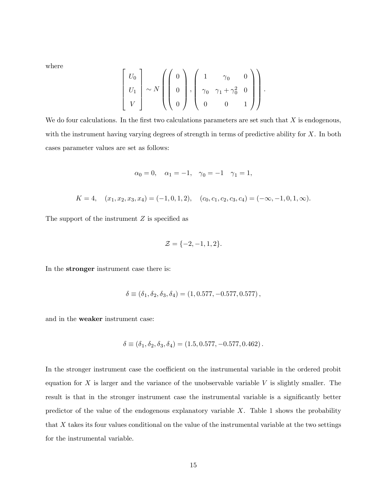where

$$
\begin{bmatrix} U_0 \\ U_1 \\ V \end{bmatrix} \sim N \left( \begin{pmatrix} 0 \\ 0 \\ 0 \end{pmatrix}, \begin{pmatrix} 1 & \gamma_0 & 0 \\ \gamma_0 & \gamma_1 + \gamma_0^2 & 0 \\ 0 & 0 & 1 \end{pmatrix} \right).
$$

We do four calculations. In the first two calculations parameters are set such that  $X$  is endogenous, with the instrument having varying degrees of strength in terms of predictive ability for  $X$ . In both cases parameter values are set as follows:

$$
\alpha_0 = 0
$$
,  $\alpha_1 = -1$ ,  $\gamma_0 = -1$   $\gamma_1 = 1$ ,

$$
K = 4, \quad (x_1, x_2, x_3, x_4) = (-1, 0, 1, 2), \quad (c_0, c_1, c_2, c_3, c_4) = (-\infty, -1, 0, 1, \infty).
$$

The support of the instrument  $Z$  is specified as

$$
\mathcal{Z} = \{-2, -1, 1, 2\}.
$$

In the stronger instrument case there is:

$$
\delta \equiv (\delta_1, \delta_2, \delta_3, \delta_4) = (1, 0.577, -0.577, 0.577),
$$

and in the weaker instrument case:

$$
\delta \equiv (\delta_1, \delta_2, \delta_3, \delta_4) = (1.5, 0.577, -0.577, 0.462).
$$

In the stronger instrument case the coefficient on the instrumental variable in the ordered probit equation for  $X$  is larger and the variance of the unobservable variable  $V$  is slightly smaller. The result is that in the stronger instrument case the instrumental variable is a significantly better predictor of the value of the endogenous explanatory variable  $X$ . Table 1 shows the probability that X takes its four values conditional on the value of the instrumental variable at the two settings for the instrumental variable.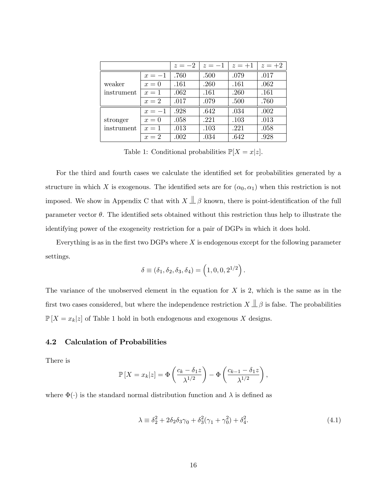|            |        | $z=-2$ | $z=-1$ | $z=+1$ | $z=+2$ |
|------------|--------|--------|--------|--------|--------|
|            | $x=-1$ | .760   | .500   | .079   | .017   |
| weaker     | $x=0$  | .161   | .260   | .161   | .062   |
| instrument | $x=1$  | .062   | .161   | .260   | .161   |
|            | $x=2$  | .017   | .079   | .500   | .760   |
|            | $x=-1$ | .928   | .642   | .034   | .002   |
| stronger   | $x=0$  | .058   | .221   | .103   | .013   |
| instrument | $x=1$  | .013   | .103   | .221   | .058   |
|            | $x=2$  | .002   | .034   | .642   | .928   |

Table 1: Conditional probabilities  $\mathbb{P}[X=x|z]$ .

For the third and fourth cases we calculate the identified set for probabilities generated by a structure in which X is exogenous. The identified sets are for  $(\alpha_0, \alpha_1)$  when this restriction is not imposed. We show in Appendix C that with  $X \perp \!\!\!\perp \beta$  known, there is point-identification of the full parameter vector  $\theta$ . The identified sets obtained without this restriction thus help to illustrate the identifying power of the exogeneity restriction for a pair of DGPs in which it does hold.

Everything is as in the first two DGPs where  $X$  is endogenous except for the following parameter settings.

$$
\delta\equiv(\delta_1,\delta_2,\delta_3,\delta_4)=\left(1,0,0,2^{1/2}\right).
$$

The variance of the unobserved element in the equation for  $X$  is 2, which is the same as in the first two cases considered, but where the independence restriction  $X \perp \!\!\!\perp \beta$  is false. The probabilities  $\mathbb{P}[X = x_k|z]$  of Table 1 hold in both endogenous and exogenous X designs.

#### 4.2 Calculation of Probabilities

There is

$$
\mathbb{P}\left[X = x_k|z\right] = \Phi\left(\frac{c_k - \delta_1 z}{\lambda^{1/2}}\right) - \Phi\left(\frac{c_{k-1} - \delta_1 z}{\lambda^{1/2}}\right),
$$

where  $\Phi(\cdot)$  is the standard normal distribution function and  $\lambda$  is defined as

$$
\lambda \equiv \delta_2^2 + 2\delta_2 \delta_3 \gamma_0 + \delta_3^2 (\gamma_1 + \gamma_0^2) + \delta_4^2.
$$
 (4.1)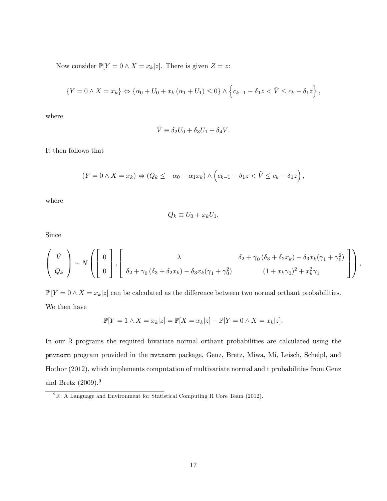Now consider  $\mathbb{P}[Y = 0 \wedge X = x_k | z]$ . There is given  $Z = z$ :

$$
\{Y = 0 \land X = x_k\} \Leftrightarrow \{\alpha_0 + U_0 + x_k (\alpha_1 + U_1) \le 0\} \land \left\{c_{k-1} - \delta_1 z < \tilde{V} \le c_k - \delta_1 z\right\},\
$$

where

$$
\tilde{V} \equiv \delta_2 U_0 + \delta_3 U_1 + \delta_4 V.
$$

It then follows that

$$
(Y = 0 \land X = x_k) \Leftrightarrow (Q_k \le -\alpha_0 - \alpha_1 x_k) \land (c_{k-1} - \delta_1 z < \tilde{V} \le c_k - \delta_1 z),
$$

where

$$
Q_k \equiv U_0 + x_k U_1.
$$

Since

$$
\begin{pmatrix}\n\tilde{V} \\
Q_k\n\end{pmatrix}\n\sim N\left(\begin{bmatrix}\n0 \\
0 \\
0\n\end{bmatrix}, \begin{bmatrix}\n\lambda & \delta_2 + \gamma_0 (\delta_3 + \delta_2 x_k) - \delta_3 x_k (\gamma_1 + \gamma_0^2) \\
\delta_2 + \gamma_0 (\delta_3 + \delta_2 x_k) - \delta_3 x_k (\gamma_1 + \gamma_0^2)\n\end{bmatrix}\right),
$$
\n
$$
(1 + x_k \gamma_0)^2 + x_k^2 \gamma_1
$$

 $\mathbb{P}[Y = 0 \wedge X = x_k | z]$  can be calculated as the difference between two normal orthant probabilities. We then have

$$
\mathbb{P}[Y=1 \wedge X=x_k|z] = \mathbb{P}[X=x_k|z] - \mathbb{P}[Y=0 \wedge X=x_k|z].
$$

In our R programs the required bivariate normal orthant probabilities are calculated using the pmvnorm program provided in the mvtnorm package, Genz, Bretz, Miwa, Mi, Leisch, Scheipl, and Hothor (2012), which implements computation of multivariate normal and t probabilities from Genz and Bretz  $(2009).<sup>9</sup>$ 

<sup>&</sup>lt;sup>9</sup>R: A Language and Environment for Statistical Computing R Core Team (2012).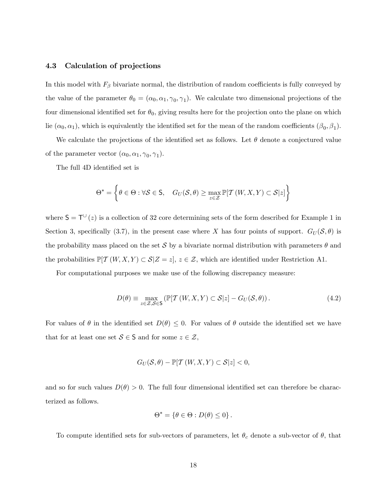#### 4.3 Calculation of projections

In this model with  $F_\beta$  bivariate normal, the distribution of random coefficients is fully conveyed by the value of the parameter  $\theta_0 = (\alpha_0, \alpha_1, \gamma_0, \gamma_1)$ . We calculate two dimensional projections of the four dimensional identified set for  $\theta_0$ , giving results here for the projection onto the plane on which lie  $(\alpha_0, \alpha_1)$ , which is equivalently the identified set for the mean of the random coefficients  $(\beta_0, \beta_1)$ .

We calculate the projections of the identified set as follows. Let  $\theta$  denote a conjectured value of the parameter vector  $(\alpha_0, \alpha_1, \gamma_0, \gamma_1)$ .

The full 4D identified set is

$$
\Theta^* = \left\{ \theta \in \Theta : \forall \mathcal{S} \in \mathsf{S}, \quad G_U(\mathcal{S}, \theta) \ge \max_{z \in \mathcal{Z}} \mathbb{P}[\mathcal{T}(W, X, Y) \subset \mathcal{S}|z] \right\}
$$

where  $S = T^{\cup}(z)$  is a collection of 32 core determining sets of the form described for Example 1 in Section 3, specifically (3.7), in the present case where X has four points of support.  $G_U(\mathcal{S}, \theta)$  is the probability mass placed on the set S by a bivariate normal distribution with parameters  $\theta$  and the probabilities  $\mathbb{P}[\mathcal{T}(W, X, Y) \subset \mathcal{S}|Z = z], z \in \mathcal{Z}$ , which are identified under Restriction A1.

For computational purposes we make use of the following discrepancy measure:

$$
D(\theta) \equiv \max_{z \in \mathcal{Z}, \mathcal{S} \in \mathcal{S}} \left( \mathbb{P}[\mathcal{T}(W, X, Y) \subset \mathcal{S}|z] - G_U(\mathcal{S}, \theta) \right). \tag{4.2}
$$

For values of  $\theta$  in the identified set  $D(\theta) \leq 0$ . For values of  $\theta$  outside the identified set we have that for at least one set  $S \in \mathsf{S}$  and for some  $z \in \mathcal{Z}$ ,

$$
G_U(\mathcal{S}, \theta) - \mathbb{P}[\mathcal{T}(W, X, Y) \subset \mathcal{S}|z] < 0,
$$

and so for such values  $D(\theta) > 0$ . The full four dimensional identified set can therefore be characterized as follows.

$$
\Theta^* = \{ \theta \in \Theta : D(\theta) \leq 0 \} .
$$

To compute identified sets for sub-vectors of parameters, let  $\theta_c$  denote a sub-vector of  $\theta$ , that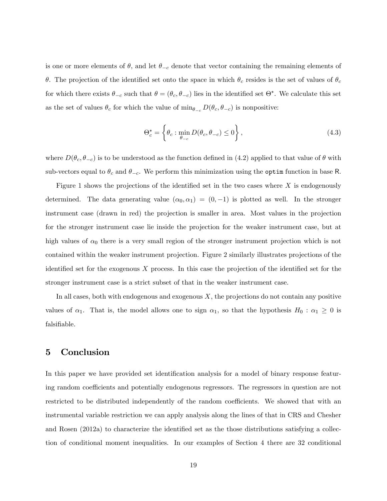is one or more elements of  $\theta$ , and let  $\theta_{-c}$  denote that vector containing the remaining elements of  $\theta$ . The projection of the identified set onto the space in which  $\theta_c$  resides is the set of values of  $\theta_c$ for which there exists  $\theta_{-c}$  such that  $\theta = (\theta_c, \theta_{-c})$  lies in the identified set  $\Theta^*$ . We calculate this set as the set of values  $\theta_c$  for which the value of  $\min_{\theta_{-c}} D(\theta_c, \theta_{-c})$  is nonpositive:

$$
\Theta_c^* = \left\{ \theta_c : \min_{\theta_{-c}} D(\theta_c, \theta_{-c}) \le 0 \right\},\tag{4.3}
$$

where  $D(\theta_c, \theta_{-c})$  is to be understood as the function defined in (4.2) applied to that value of  $\theta$  with sub-vectors equal to  $\theta_c$  and  $\theta_{-c}$ . We perform this minimization using the optim function in base R.

Figure 1 shows the projections of the identified set in the two cases where  $X$  is endogenously determined. The data generating value  $(\alpha_0, \alpha_1) = (0, -1)$  is plotted as well. In the stronger instrument case (drawn in red) the projection is smaller in area. Most values in the projection for the stronger instrument case lie inside the projection for the weaker instrument case, but at high values of  $\alpha_0$  there is a very small region of the stronger instrument projection which is not contained within the weaker instrument projection. Figure 2 similarly illustrates projections of the identified set for the exogenous  $X$  process. In this case the projection of the identified set for the stronger instrument case is a strict subset of that in the weaker instrument case.

In all cases, both with endogenous and exogenous  $X$ , the projections do not contain any positive values of  $\alpha_1$ . That is, the model allows one to sign  $\alpha_1$ , so that the hypothesis  $H_0 : \alpha_1 \geq 0$  is falsifiable.

## 5 Conclusion

In this paper we have provided set identification analysis for a model of binary response featuring random coefficients and potentially endogenous regressors. The regressors in question are not restricted to be distributed independently of the random coefficients. We showed that with an instrumental variable restriction we can apply analysis along the lines of that in CRS and Chesher and Rosen  $(2012a)$  to characterize the identified set as the those distributions satisfying a collection of conditional moment inequalities. In our examples of Section 4 there are 32 conditional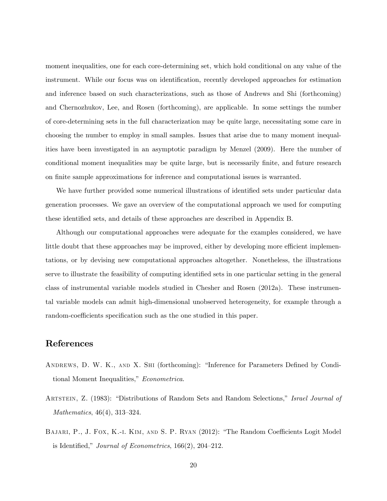moment inequalities, one for each core-determining set, which hold conditional on any value of the instrument. While our focus was on identification, recently developed approaches for estimation and inference based on such characterizations, such as those of Andrews and Shi (forthcoming) and Chernozhukov, Lee, and Rosen (forthcoming), are applicable. In some settings the number of core-determining sets in the full characterization may be quite large, necessitating some care in choosing the number to employ in small samples. Issues that arise due to many moment inequalities have been investigated in an asymptotic paradigm by Menzel (2009). Here the number of conditional moment inequalities may be quite large, but is necessarily finite, and future research on finite sample approximations for inference and computational issues is warranted.

We have further provided some numerical illustrations of identified sets under particular data generation processes. We gave an overview of the computational approach we used for computing these identified sets, and details of these approaches are described in Appendix B.

Although our computational approaches were adequate for the examples considered, we have little doubt that these approaches may be improved, either by developing more efficient implementations, or by devising new computational approaches altogether. Nonetheless, the illustrations serve to illustrate the feasibility of computing identified sets in one particular setting in the general class of instrumental variable models studied in Chesher and Rosen (2012a). These instrumental variable models can admit high-dimensional unobserved heterogeneity, for example through a random-coefficients specification such as the one studied in this paper.

## References

- ANDREWS, D. W. K., AND X. SHI (forthcoming): "Inference for Parameters Defined by Conditional Moment Inequalities," Econometrica.
- ARTSTEIN, Z. (1983): "Distributions of Random Sets and Random Selections," Israel Journal of Mathematics,  $46(4)$ ,  $313-324$ .
- BAJARI, P., J. FOX, K.-I. KIM, AND S. P. RYAN (2012): "The Random Coefficients Logit Model is Identified," Journal of Econometrics,  $166(2)$ ,  $204-212$ .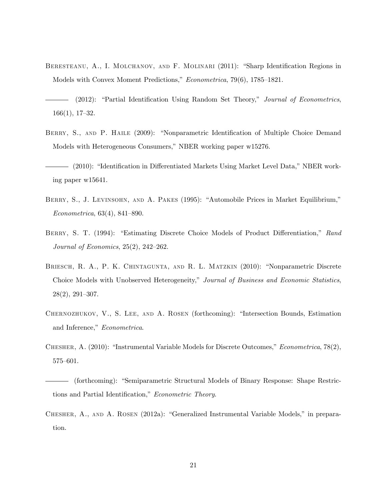- BERESTEANU, A., I. MOLCHANOV, AND F. MOLINARI (2011): "Sharp Identification Regions in Models with Convex Moment Predictions,"  $Econometrica$ , 79(6), 1785–1821.
- $(2012)$ : "Partial Identification Using Random Set Theory," Journal of Econometrics,  $166(1)$ , 17-32.
- BERRY, S., AND P. HAILE (2009): "Nonparametric Identification of Multiple Choice Demand Models with Heterogeneous Consumers," NBER working paper w15276.
- (2010): "Identification in Differentiated Markets Using Market Level Data," NBER working paper w15641.
- BERRY, S., J. LEVINSOHN, AND A. PAKES (1995): "Automobile Prices in Market Equilibrium,"  $Econometrica, 63(4), 841-890.$
- BERRY, S. T. (1994): "Estimating Discrete Choice Models of Product Differentiation," Rand Journal of Economics,  $25(2)$ ,  $242-262$ .
- BRIESCH, R. A., P. K. CHINTAGUNTA, AND R. L. MATZKIN (2010): "Nonparametric Discrete Choice Models with Unobserved Heterogeneity," Journal of Business and Economic Statistics,  $28(2), 291-307.$
- CHERNOZHUKOV, V., S. LEE, AND A. ROSEN (forthcoming): "Intersection Bounds, Estimation and Inference," Econometrica.
- CHESHER, A.  $(2010)$ : "Instrumental Variable Models for Discrete Outcomes," *Econometrica*, 78 $(2)$ ,  $575 - 601.$
- (forthcoming): "Semiparametric Structural Models of Binary Response: Shape Restrictions and Partial Identification," Econometric Theory.
- CHESHER, A., AND A. ROSEN (2012a): "Generalized Instrumental Variable Models," in preparation.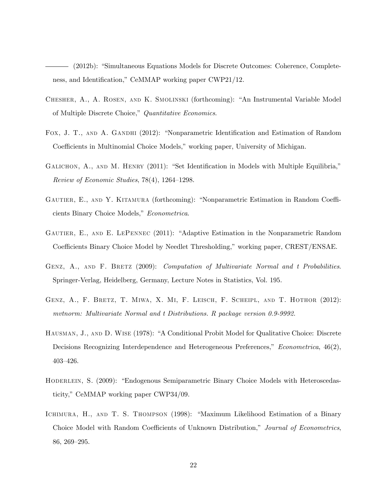$(2012b)$ : "Simultaneous Equations Models for Discrete Outcomes: Coherence, Completeness, and Identification," CeMMAP working paper CWP21/12.

- CHESHER, A., A. ROSEN, AND K. SMOLINSKI (forthcoming): "An Instrumental Variable Model of Multiple Discrete Choice," Quantitative Economics.
- FOX, J. T., AND A. GANDHI (2012): "Nonparametric Identification and Estimation of Random Coefficients in Multinomial Choice Models," working paper, University of Michigan.
- GALICHON, A., AND M. HENRY (2011): "Set Identification in Models with Multiple Equilibria," Review of Economic Studies,  $78(4)$ ,  $1264-1298$ .
- GAUTIER, E., AND Y. KITAMURA (forthcoming): "Nonparametric Estimation in Random Coefficients Binary Choice Models," Econometrica.
- GAUTIER, E., AND E. LEPENNEC (2011): "Adaptive Estimation in the Nonparametric Random Coefficients Binary Choice Model by Needlet Thresholding," working paper, CREST/ENSAE.
- GENZ, A., AND F. BRETZ (2009): Computation of Multivariate Normal and t Probabilities. Springer-Verlag, Heidelberg, Germany, Lecture Notes in Statistics, Vol. 195.
- Genz, A., F. Bretz, T. Miwa, X. Mi, F. Leisch, F. Scheipl, and T. Hothor (2012): mvtnorm: Multivariate Normal and t Distributions. R package version 0.9-9992.
- HAUSMAN, J., AND D. WISE (1978): "A Conditional Probit Model for Qualitative Choice: Discrete Decisions Recognizing Interdependence and Heterogeneous Preferences," Econometrica, 46(2), 403-426.
- HODERLEIN, S. (2009): "Endogenous Semiparametric Binary Choice Models with Heteroscedasticity," CeMMAP working paper CWP34/09.
- ICHIMURA, H., AND T. S. THOMPSON (1998): "Maximum Likelihood Estimation of a Binary Choice Model with Random Coefficients of Unknown Distribution," Journal of Econometrics,  $86, 269 - 295.$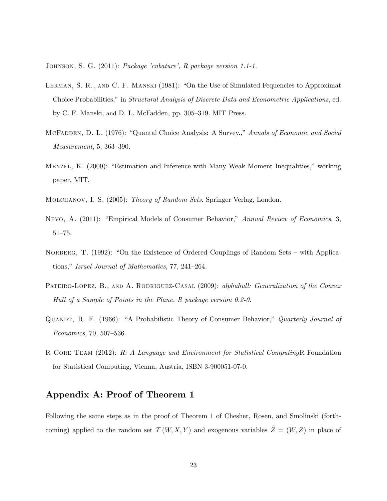JOHNSON, S. G. (2011): Package 'cubature', R package version 1.1-1.

- LERMAN, S. R., AND C. F. MANSKI (1981): "On the Use of Simulated Fequencies to Approximat Choice Probabilities," in Structural Analysis of Discrete Data and Econometric Applications, ed. by C. F. Manski, and D. L. McFadden, pp. 305–319. MIT Press.
- MCFADDEN, D. L. (1976): "Quantal Choice Analysis: A Survey.," Annals of Economic and Social  $Measurement, 5, 363-390.$
- MENZEL, K. (2009): "Estimation and Inference with Many Weak Moment Inequalities," working paper, MIT.
- MOLCHANOV, I. S. (2005): Theory of Random Sets. Springer Verlag, London.
- NEVO, A. (2011): "Empirical Models of Consumer Behavior," Annual Review of Economics, 3,  $51 - 75.$
- NORBERG, T. (1992): "On the Existence of Ordered Couplings of Random Sets with Applications," Israel Journal of Mathematics, 77, 241–264.
- PATEIRO-LOPEZ, B., AND A. RODRIGUEZ-CASAL (2009): alphahull: Generalization of the Convex Hull of a Sample of Points in the Plane. R package version 0.2-0.
- QUANDT, R. E. (1966): "A Probabilistic Theory of Consumer Behavior," Quarterly Journal of  $Economics, 70, 507–536.$
- R CORE TEAM (2012): R: A Language and Environment for Statistical ComputingR Foundation for Statistical Computing, Vienna, Austria, ISBN 3-900051-07-0.

## Appendix A: Proof of Theorem 1

Following the same steps as in the proof of Theorem 1 of Chesher, Rosen, and Smolinski (forthcoming) applied to the random set  $\mathcal{T}(W, X, Y)$  and exogenous variables  $\tilde{Z} = (W, Z)$  in place of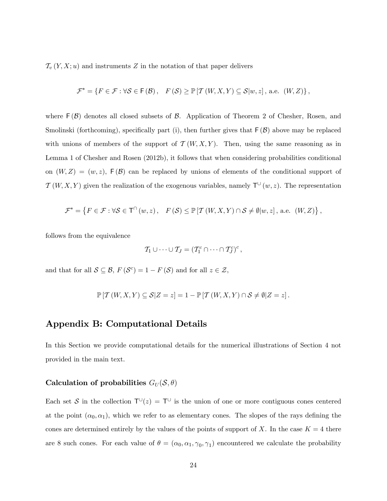$\mathcal{T}_{\nu}(Y, X; u)$  and instruments Z in the notation of that paper delivers

$$
\mathcal{F}^* = \left\{ F \in \mathcal{F} : \forall \mathcal{S} \in \mathsf{F}(\mathcal{B}), \quad F(\mathcal{S}) \ge \mathbb{P}\left[\mathcal{T}\left(W, X, Y\right) \subseteq \mathcal{S}|w, z\right], \text{ a.e. } \left(W, Z\right) \right\},\
$$

where  $F(\mathcal{B})$  denotes all closed subsets of  $\mathcal{B}$ . Application of Theorem 2 of Chesher, Rosen, and Smolinski (forthcoming), specifically part (i), then further gives that  $F(\mathcal{B})$  above may be replaced with unions of members of the support of  $\mathcal{T}(W, X, Y)$ . Then, using the same reasoning as in Lemma 1 of Chesher and Rosen (2012b), it follows that when considering probabilities conditional on  $(W, Z) = (w, z)$ ,  $F(\mathcal{B})$  can be replaced by unions of elements of the conditional support of  $T(W, X, Y)$  given the realization of the exogenous variables, namely  $T^{\cup}(w, z)$ . The representation

$$
\mathcal{F}^* = \left\{ F \in \mathcal{F} : \forall \mathcal{S} \in \mathsf{T}^{\cap}(w, z), \quad F(\mathcal{S}) \leq \mathbb{P} \left[ \mathcal{T} \left( W, X, Y \right) \cap \mathcal{S} \neq \emptyset | w, z \right], \text{ a.e. } \left( W, Z \right) \right\},\
$$

follows from the equivalence

$$
\mathcal{T}_1 \cup \cdots \cup \mathcal{T}_J = (\mathcal{T}_1^c \cap \cdots \cap \mathcal{T}_J^c)^c,
$$

and that for all  $S \subseteq \mathcal{B}$ ,  $F(\mathcal{S}^c) = 1 - F(\mathcal{S})$  and for all  $z \in \mathcal{Z}$ ,

$$
\mathbb{P}\left[\mathcal{T}\left(W,X,Y\right)\subseteq\mathcal{S}|Z=z\right]=1-\mathbb{P}\left[\mathcal{T}\left(W,X,Y\right)\cap\mathcal{S}\neq\emptyset|Z=z\right].
$$

## Appendix B: Computational Details

In this Section we provide computational details for the numerical illustrations of Section 4 not provided in the main text.

### Calculation of probabilities  $G_U(S, \theta)$

Each set S in the collection  $T^{\cup}(z) = T^{\cup}$  is the union of one or more contiguous cones centered at the point  $(\alpha_0, \alpha_1)$ , which we refer to as elementary cones. The slopes of the rays defining the cones are determined entirely by the values of the points of support of X. In the case  $K = 4$  there are 8 such cones. For each value of  $\theta = (\alpha_0, \alpha_1, \gamma_0, \gamma_1)$  encountered we calculate the probability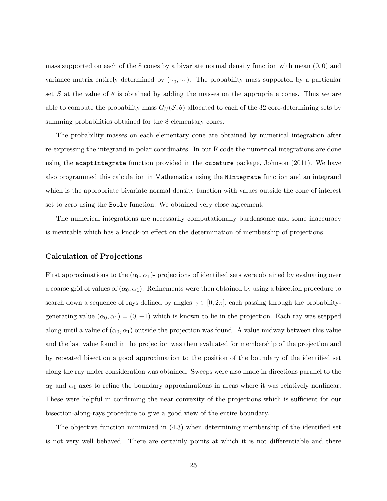mass supported on each of the 8 cones by a bivariate normal density function with mean  $(0,0)$  and variance matrix entirely determined by  $(\gamma_0, \gamma_1)$ . The probability mass supported by a particular set S at the value of  $\theta$  is obtained by adding the masses on the appropriate cones. Thus we are able to compute the probability mass  $G_U(\mathcal{S}, \theta)$  allocated to each of the 32 core-determining sets by summing probabilities obtained for the 8 elementary cones.

The probability masses on each elementary cone are obtained by numerical integration after re-expressing the integrand in polar coordinates. In our R code the numerical integrations are done using the adaptIntegrate function provided in the cubature package, Johnson (2011). We have also programmed this calculation in Mathematica using the NIntegrate function and an integrand which is the appropriate bivariate normal density function with values outside the cone of interest set to zero using the Boole function. We obtained very close agreement.

The numerical integrations are necessarily computationally burdensome and some inaccuracy is inevitable which has a knock-on effect on the determination of membership of projections.

#### Calculation of Projections

First approximations to the  $(\alpha_0, \alpha_1)$ - projections of identified sets were obtained by evaluating over a coarse grid of values of  $(\alpha_0, \alpha_1)$ . Refinements were then obtained by using a bisection procedure to search down a sequence of rays defined by angles  $\gamma \in [0, 2\pi]$ , each passing through the probabilitygenerating value  $(\alpha_0, \alpha_1) = (0, -1)$  which is known to lie in the projection. Each ray was stepped along until a value of  $(\alpha_0, \alpha_1)$  outside the projection was found. A value midway between this value and the last value found in the projection was then evaluated for membership of the projection and by repeated bisection a good approximation to the position of the boundary of the identified set along the ray under consideration was obtained. Sweeps were also made in directions parallel to the  $\alpha_0$  and  $\alpha_1$  axes to refine the boundary approximations in areas where it was relatively nonlinear. These were helpful in confirming the near convexity of the projections which is sufficient for our bisection-along-rays procedure to give a good view of the entire boundary.

The objective function minimized in  $(4.3)$  when determining membership of the identified set is not very well behaved. There are certainly points at which it is not differentiable and there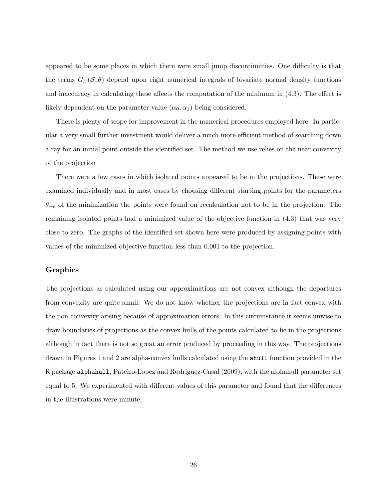appeared to be some places in which there were small jump discontinuities. One difficulty is that the terms  $G_U(\mathcal{S}, \theta)$  depend upon eight numerical integrals of bivariate normal density functions and inaccuracy in calculating these affects the computation of the minimum in  $(4.3)$ . The effect is likely dependent on the parameter value  $(\alpha_0, \alpha_1)$  being considered.

There is plenty of scope for improvement in the numerical procedures employed here. In particular a very small further investment would deliver a much more efficient method of searching down a ray for an initial point outside the identified set. The method we use relies on the near convexity of the projection

There were a few cases in which isolated points appeared to be in the projections. These were examined individually and in most cases by choosing different starting points for the parameters  $\theta_{-c}$  of the minimization the points were found on recalculation not to be in the projection. The remaining isolated points had a minimized value of the objective function in (4.3) that was very close to zero. The graphs of the identified set shown here were produced by assigning points with values of the minimized objective function less than 0:001 to the projection.

#### Graphics

The projections as calculated using our approximations are not convex although the departures from convexity are quite small. We do not know whether the projections are in fact convex with the non-convexity arising because of approximation errors. In this circumstance it seems unwise to draw boundaries of projections as the convex hulls of the points calculated to lie in the projections although in fact there is not so great an error produced by proceeding in this way. The projections drawn in Figures 1 and 2 are alpha-convex hulls calculated using the ahull function provided in the R package alphahull, Pateiro-Lopez and Rodriguez-Casal (2009), with the alphahull parameter set equal to 5. We experimented with different values of this parameter and found that the differences in the illustrations were minute.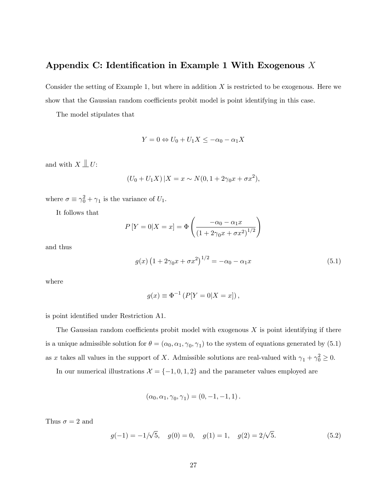## Appendix C: Identification in Example 1 With Exogenous  $X$

Consider the setting of Example 1, but where in addition  $X$  is restricted to be exogenous. Here we show that the Gaussian random coefficients probit model is point identifying in this case.

The model stipulates that

$$
Y = 0 \Leftrightarrow U_0 + U_1 X \le -\alpha_0 - \alpha_1 X
$$

and with  $X \perp\!\!\!\perp U$ :

$$
(U_0 + U_1 X) | X = x \sim N(0, 1 + 2\gamma_0 x + \sigma x^2),
$$

where  $\sigma \equiv \gamma_0^2 + \gamma_1$  is the variance of  $U_1$ .

It follows that

$$
P[Y = 0|X = x] = \Phi\left(\frac{-\alpha_0 - \alpha_1 x}{(1 + 2\gamma_0 x + \sigma x^2)^{1/2}}\right)
$$

and thus

$$
g(x) (1 + 2\gamma_0 x + \sigma x^2)^{1/2} = -\alpha_0 - \alpha_1 x \tag{5.1}
$$

where

$$
g(x) \equiv \Phi^{-1} (P[Y=0|X=x]),
$$

is point identified under Restriction A1.

The Gaussian random coefficients probit model with exogenous  $X$  is point identifying if there is a unique admissible solution for  $\theta = (\alpha_0, \alpha_1, \gamma_0, \gamma_1)$  to the system of equations generated by  $(5.1)$ as x takes all values in the support of X. Admissible solutions are real-valued with  $\gamma_1 + \gamma_0^2 \ge 0$ .

In our numerical illustrations  $\mathcal{X} = \{-1, 0, 1, 2\}$  and the parameter values employed are

$$
(\alpha_0, \alpha_1, \gamma_0, \gamma_1) = (0, -1, -1, 1).
$$

Thus  $\sigma = 2$  and

$$
g(-1) = -1/\sqrt{5}, \quad g(0) = 0, \quad g(1) = 1, \quad g(2) = 2/\sqrt{5}.
$$
 (5.2)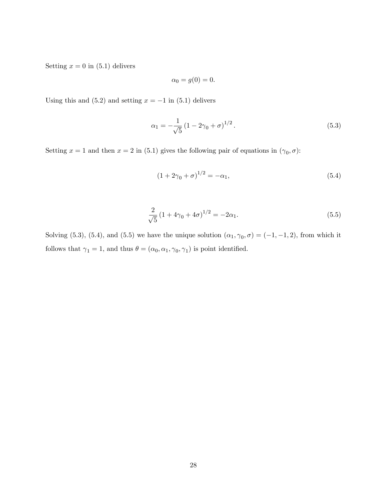Setting  $x = 0$  in (5.1) delivers

$$
\alpha_0 = g(0) = 0.
$$

Using this and (5.2) and setting  $x = -1$  in (5.1) delivers

$$
\alpha_1 = -\frac{1}{\sqrt{5}} \left( 1 - 2\gamma_0 + \sigma \right)^{1/2}.
$$
\n(5.3)

Setting  $x = 1$  and then  $x = 2$  in (5.1) gives the following pair of equations in  $(\gamma_0, \sigma)$ :

$$
(1 + 2\gamma_0 + \sigma)^{1/2} = -\alpha_1,\tag{5.4}
$$

$$
\frac{2}{\sqrt{5}}\left(1+4\gamma_0+4\sigma\right)^{1/2} = -2\alpha_1.
$$
\n(5.5)

Solving (5.3), (5.4), and (5.5) we have the unique solution  $(\alpha_1, \gamma_0, \sigma) = (-1, -1, 2)$ , from which it follows that  $\gamma_1 = 1$ , and thus  $\theta = (\alpha_0, \alpha_1, \gamma_0, \gamma_1)$  is point identified.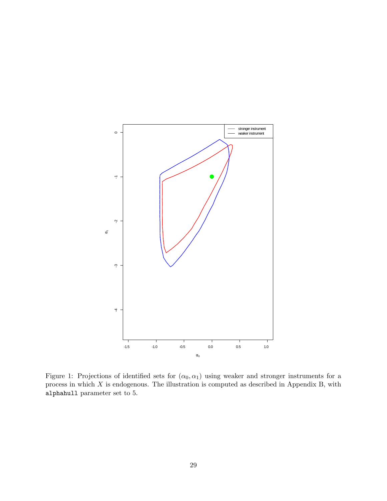

Figure 1: Projections of identified sets for  $(\alpha_0, \alpha_1)$  using weaker and stronger instruments for a process in which  $X$  is endogenous. The illustration is computed as described in Appendix B, with alphahull parameter set to 5.